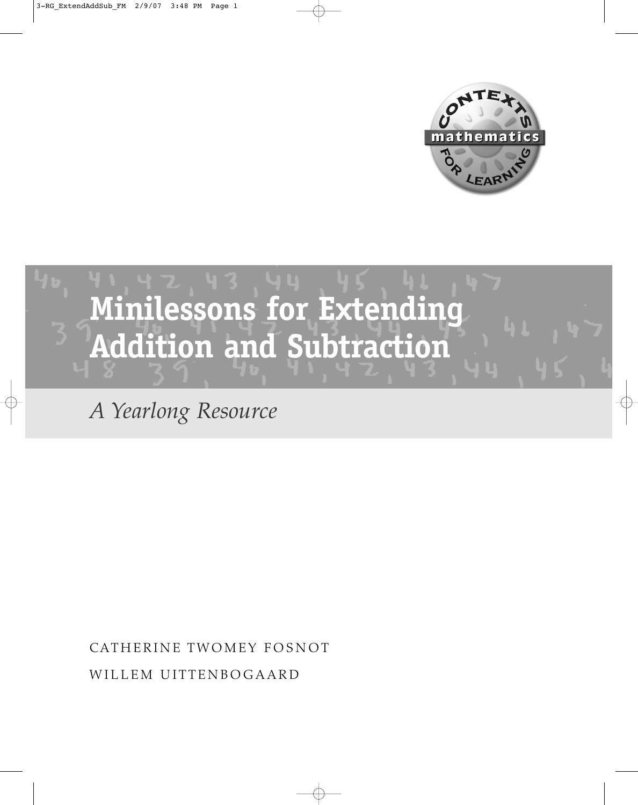



*A Yearlong Resource*

CATHERINE TWOMEY FOSNOT WILLEM UITTENBOGAARD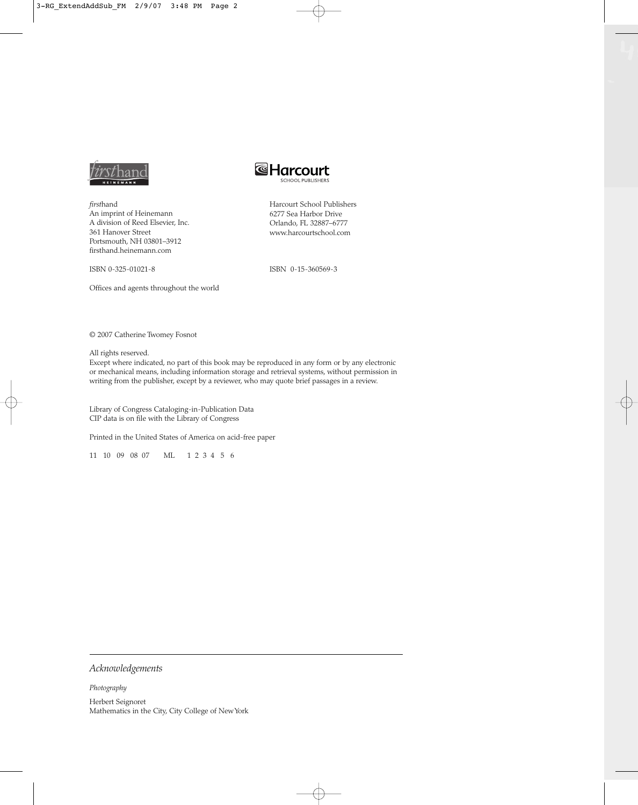

*first*hand An imprint of Heinemann A division of Reed Elsevier, Inc. 361 Hanover Street Portsmouth, NH 03801–3912 firsthand.heinemann.com

ISBN 0-325-01021-8

Offices and agents throughout the world

**&Harcourt** 

Harcourt School Publishers 6277 Sea Harbor Drive Orlando, FL 32887–6777 www.harcourtschool.com

ISBN 0-15-360569-3

© 2007 Catherine Twomey Fosnot

All rights reserved.

Except where indicated, no part of this book may be reproduced in any form or by any electronic or mechanical means, including information storage and retrieval systems, without permission in writing from the publisher, except by a reviewer, who may quote brief passages in a review.

Library of Congress Cataloging-in-Publication Data CIP data is on file with the Library of Congress

Printed in the United States of America on acid-free paper

11 10 09 08 07 ML 1 2 3 4 5 6

*Acknowledgements*

*Photography* Herbert Seignoret Mathematics in the City, City College of New York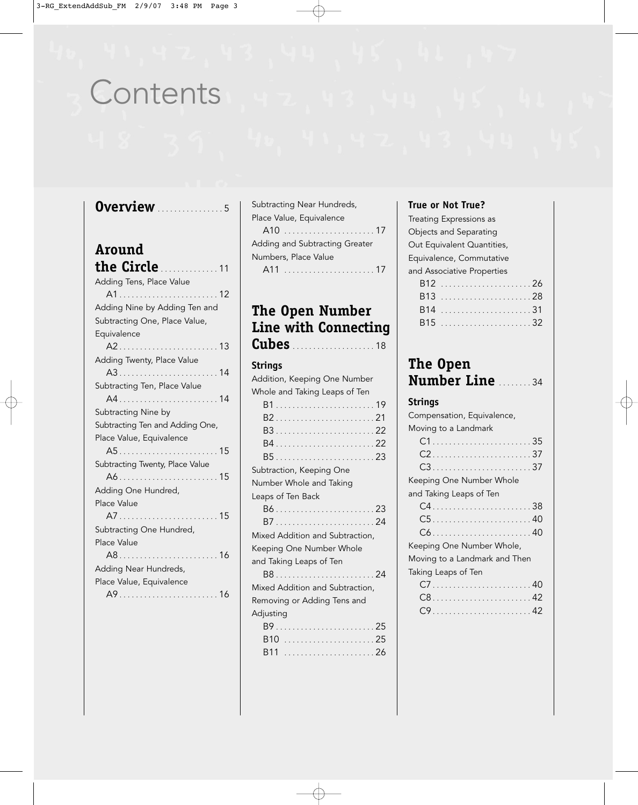## **Contents**

## **Overview** ................ <sup>5</sup>

#### **Around**  the Circle

| <b>יינוב הזונוב</b> איינייייייון ו |
|------------------------------------|
| Adding Tens, Place Value           |
|                                    |
| Adding Nine by Adding Ten and      |
| Subtracting One, Place Value,      |
| Equivalence                        |
|                                    |
| Adding Twenty, Place Value         |
|                                    |
| Subtracting Ten, Place Value       |
| A414                               |
| Subtracting Nine by                |
| Subtracting Ten and Adding One,    |
| Place Value, Equivalence           |
|                                    |
| Subtracting Twenty, Place Value    |
| A615                               |
| Adding One Hundred,                |
| Place Value                        |
|                                    |
| Subtracting One Hundred,           |
| Place Value                        |
|                                    |
| Adding Near Hundreds,              |
| Place Value, Equivalence           |
|                                    |

Subtracting Near Hundreds, Place Value, Equivalence A10 ...................... 17 Adding and Subtracting Greater Numbers, Place Value A11 ...................... 17

## **The Open Number Line with Connecting**

**Cubes** .................... <sup>18</sup>

#### **Strings**

| Addition, Keeping One Number    |
|---------------------------------|
| Whole and Taking Leaps of Ten   |
|                                 |
|                                 |
|                                 |
|                                 |
|                                 |
| Subtraction, Keeping One        |
| Number Whole and Taking         |
| Leaps of Ten Back               |
|                                 |
|                                 |
| Mixed Addition and Subtraction, |
| Keeping One Number Whole        |
| and Taking Leaps of Ten         |
|                                 |
| Mixed Addition and Subtraction, |
| Removing or Adding Tens and     |
| Adjusting                       |
|                                 |
|                                 |
|                                 |

#### **True or Not True?**

| Treating Expressions as    |  |
|----------------------------|--|
| Objects and Separating     |  |
| Out Equivalent Quantities, |  |
| Equivalence, Commutative   |  |
| and Associative Properties |  |
|                            |  |
|                            |  |

## **The Open Number Line** ........ <sup>34</sup>

## **Strings**

| Compensation, Equivalence,    |
|-------------------------------|
| Moving to a Landmark          |
| $C1$ 35                       |
|                               |
|                               |
| Keeping One Number Whole      |
| and Taking Leaps of Ten       |
|                               |
| $C5$ 40                       |
|                               |
| Keeping One Number Whole,     |
| Moving to a Landmark and Then |
| Taking Leaps of Ten           |
|                               |
|                               |
|                               |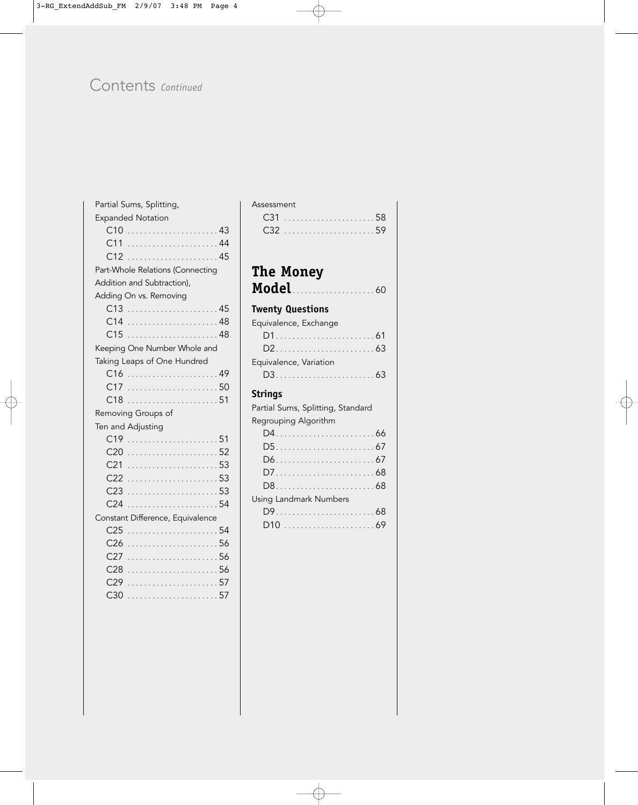## Contents *Continued*

| Partial Sums, Splitting,         |
|----------------------------------|
| <b>Expanded Notation</b>         |
|                                  |
| C11                              |
| C12<br>. 45                      |
| Part-Whole Relations (Connecting |
| Addition and Subtraction),       |
| Adding On vs. Removing           |
|                                  |
| C14                              |
|                                  |
| Keeping One Number Whole and     |
| Taking Leaps of One Hundred      |
|                                  |
|                                  |
|                                  |
| Removing Groups of               |
| Ten and Adjusting                |
|                                  |
| C20                              |
| C21                              |
| C <sub>22</sub>                  |
| C <sub>23</sub>                  |
| C <sub>24</sub>                  |
| Constant Difference, Equivalence |
| C <sub>25</sub>                  |
| C <sub>26</sub>                  |
| C27                              |
| C28                              |
| . 57<br>C29                      |
| C30                              |

| The Money                         |
|-----------------------------------|
|                                   |
| <b>Twenty Questions</b>           |
| Equivalence, Exchange             |
|                                   |
|                                   |
| Equivalence, Variation            |
|                                   |
| <b>Strings</b>                    |
|                                   |
| Partial Sums, Splitting, Standard |
| Regrouping Algorithm              |
|                                   |
|                                   |
|                                   |
|                                   |
|                                   |
| <b>Using Landmark Numbers</b>     |
|                                   |
|                                   |
|                                   |

Assessment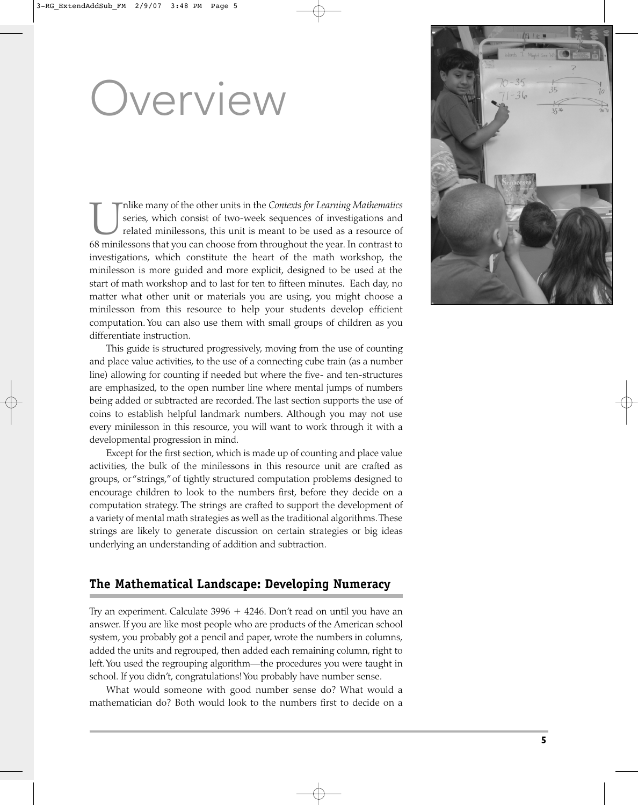# Overview

Implike many of the other units in the *Contexts for Learning Mathematics*<br>
series, which consist of two-week sequences of investigations and<br>
feature minilessons that you can choose from throughout the year. In contrast t series, which consist of two-week sequences of investigations and related minilessons, this unit is meant to be used as a resource of investigations, which constitute the heart of the math workshop, the minilesson is more guided and more explicit, designed to be used at the start of math workshop and to last for ten to fifteen minutes. Each day, no matter what other unit or materials you are using, you might choose a minilesson from this resource to help your students develop efficient computation. You can also use them with small groups of children as you differentiate instruction.

This guide is structured progressively, moving from the use of counting and place value activities, to the use of a connecting cube train (as a number line) allowing for counting if needed but where the five- and ten-structures are emphasized, to the open number line where mental jumps of numbers being added or subtracted are recorded. The last section supports the use of coins to establish helpful landmark numbers. Although you may not use every minilesson in this resource, you will want to work through it with a developmental progression in mind.

Except for the first section, which is made up of counting and place value activities, the bulk of the minilessons in this resource unit are crafted as groups, or "strings,"of tightly structured computation problems designed to encourage children to look to the numbers first, before they decide on a computation strategy. The strings are crafted to support the development of a variety of mental math strategies as well as the traditional algorithms.These strings are likely to generate discussion on certain strategies or big ideas underlying an understanding of addition and subtraction.

## **The Mathematical Landscape: Developing Numeracy**

Try an experiment. Calculate 3996 + 4246. Don't read on until you have an answer. If you are like most people who are products of the American school system, you probably got a pencil and paper, wrote the numbers in columns, added the units and regrouped, then added each remaining column, right to left.You used the regrouping algorithm—the procedures you were taught in school. If you didn't, congratulations! You probably have number sense.

What would someone with good number sense do? What would a mathematician do? Both would look to the numbers first to decide on a

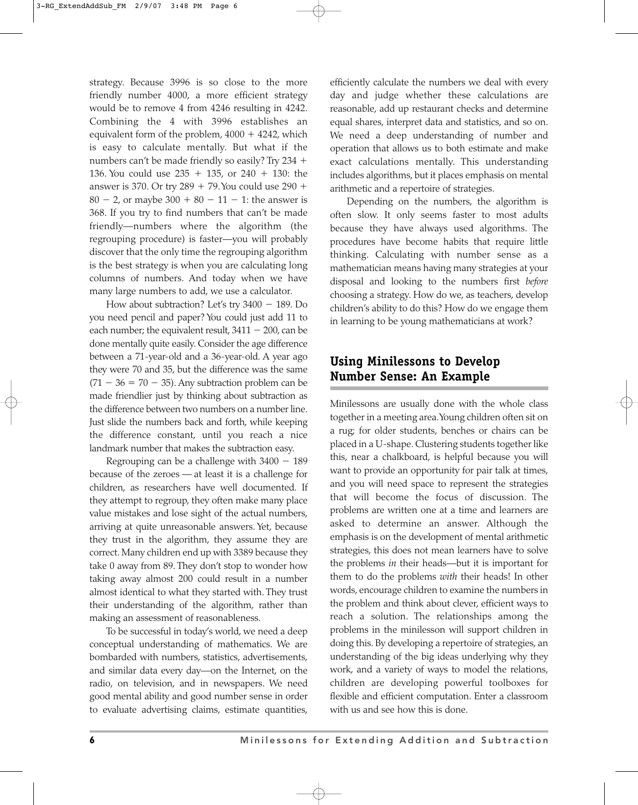strategy. Because 3996 is so close to the more friendly number 4000, a more efficient strategy would be to remove 4 from 4246 resulting in 4242. Combining the 4 with 3996 establishes an equivalent form of the problem, 4000 + 4242, which is easy to calculate mentally. But what if the numbers can't be made friendly so easily? Try 234  $+$ 136. You could use  $235 + 135$ , or  $240 + 130$ : the answer is 370. Or try  $289 + 79$ . You could use  $290 +$  $80 - 2$ , or maybe  $300 + 80 - 11 - 1$ : the answer is 368. If you try to find numbers that can't be made friendly—numbers where the algorithm (the regrouping procedure) is faster—you will probably discover that the only time the regrouping algorithm is the best strategy is when you are calculating long columns of numbers. And today when we have many large numbers to add, we use a calculator.

How about subtraction? Let's try  $3400 - 189$ . Do you need pencil and paper? You could just add 11 to each number; the equivalent result,  $3411 - 200$ , can be done mentally quite easily. Consider the age difference between a 71-year-old and a 36-year-old. A year ago they were 70 and 35, but the difference was the same  $(71 - 36 = 70 - 35)$ . Any subtraction problem can be made friendlier just by thinking about subtraction as the difference between two numbers on a number line. Just slide the numbers back and forth, while keeping the difference constant, until you reach a nice landmark number that makes the subtraction easy.

Regrouping can be a challenge with  $3400 - 189$ because of the zeroes — at least it is a challenge for children, as researchers have well documented. If they attempt to regroup, they often make many place value mistakes and lose sight of the actual numbers, arriving at quite unreasonable answers. Yet, because they trust in the algorithm, they assume they are correct. Many children end up with 3389 because they take 0 away from 89. They don't stop to wonder how taking away almost 200 could result in a number almost identical to what they started with. They trust their understanding of the algorithm, rather than making an assessment of reasonableness.

To be successful in today's world, we need a deep conceptual understanding of mathematics. We are bombarded with numbers, statistics, advertisements, and similar data every day—on the Internet, on the radio, on television, and in newspapers. We need good mental ability and good number sense in order to evaluate advertising claims, estimate quantities, efficiently calculate the numbers we deal with every day and judge whether these calculations are reasonable, add up restaurant checks and determine equal shares, interpret data and statistics, and so on. We need a deep understanding of number and operation that allows us to both estimate and make exact calculations mentally. This understanding includes algorithms, but it places emphasis on mental arithmetic and a repertoire of strategies.

Depending on the numbers, the algorithm is often slow. It only seems faster to most adults because they have always used algorithms. The procedures have become habits that require little thinking. Calculating with number sense as a mathematician means having many strategies at your disposal and looking to the numbers first *before* choosing a strategy. How do we, as teachers, develop children's ability to do this? How do we engage them in learning to be young mathematicians at work?

## **Using Minilessons to Develop Number Sense: An Example**

Minilessons are usually done with the whole class together in a meeting area.Young children often sit on a rug; for older students, benches or chairs can be placed in a U-shape. Clustering students together like this, near a chalkboard, is helpful because you will want to provide an opportunity for pair talk at times, and you will need space to represent the strategies that will become the focus of discussion. The problems are written one at a time and learners are asked to determine an answer. Although the emphasis is on the development of mental arithmetic strategies, this does not mean learners have to solve the problems *in* their heads—but it is important for them to do the problems *with* their heads! In other words, encourage children to examine the numbers in the problem and think about clever, efficient ways to reach a solution. The relationships among the problems in the minilesson will support children in doing this. By developing a repertoire of strategies, an understanding of the big ideas underlying why they work, and a variety of ways to model the relations, children are developing powerful toolboxes for flexible and efficient computation. Enter a classroom with us and see how this is done.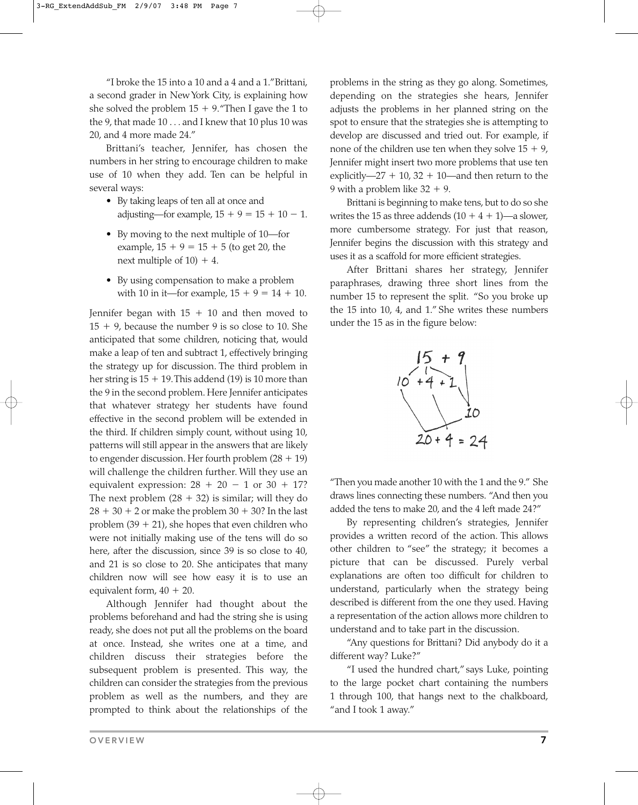"I broke the 15 into a 10 and a 4 and a 1."Brittani, a second grader in New York City, is explaining how she solved the problem  $15 + 9$ . "Then I gave the 1 to the 9, that made 10 . . . and I knew that 10 plus 10 was 20, and 4 more made 24."

Brittani's teacher, Jennifer, has chosen the numbers in her string to encourage children to make use of 10 when they add. Ten can be helpful in several ways:

- By taking leaps of ten all at once and adjusting—for example,  $15 + 9 = 15 + 10 - 1$ .
- By moving to the next multiple of 10—for example,  $15 + 9 = 15 + 5$  (to get 20, the next multiple of  $10$ ) + 4.
- By using compensation to make a problem with 10 in it—for example,  $15 + 9 = 14 + 10$ .

Jennifer began with  $15 + 10$  and then moved to  $15 + 9$ , because the number 9 is so close to 10. She anticipated that some children, noticing that, would make a leap of ten and subtract 1, effectively bringing the strategy up for discussion. The third problem in her string is  $15 + 19$ . This addend  $(19)$  is  $10$  more than the 9 in the second problem. Here Jennifer anticipates that whatever strategy her students have found effective in the second problem will be extended in the third. If children simply count, without using 10, patterns will still appear in the answers that are likely to engender discussion. Her fourth problem  $(28 + 19)$ will challenge the children further. Will they use an equivalent expression:  $28 + 20 - 1$  or  $30 + 17$ ? The next problem  $(28 + 32)$  is similar; will they do  $28 + 30 + 2$  or make the problem  $30 + 30$ ? In the last problem (39 + 21), she hopes that even children who were not initially making use of the tens will do so here, after the discussion, since 39 is so close to 40, and 21 is so close to 20. She anticipates that many children now will see how easy it is to use an equivalent form,  $40 + 20$ .

Although Jennifer had thought about the problems beforehand and had the string she is using ready, she does not put all the problems on the board at once. Instead, she writes one at a time, and children discuss their strategies before the subsequent problem is presented. This way, the children can consider the strategies from the previous problem as well as the numbers, and they are prompted to think about the relationships of the problems in the string as they go along. Sometimes, depending on the strategies she hears, Jennifer adjusts the problems in her planned string on the spot to ensure that the strategies she is attempting to develop are discussed and tried out. For example, if none of the children use ten when they solve  $15 + 9$ , Jennifer might insert two more problems that use ten explicitly—27 + 10, 32 + 10—and then return to the 9 with a problem like  $32 + 9$ .

Brittani is beginning to make tens, but to do so she writes the 15 as three addends  $(10 + 4 + 1)$ —a slower, more cumbersome strategy. For just that reason, Jennifer begins the discussion with this strategy and uses it as a scaffold for more efficient strategies.

After Brittani shares her strategy, Jennifer paraphrases, drawing three short lines from the number 15 to represent the split. "So you broke up the 15 into 10, 4, and 1." She writes these numbers under the 15 as in the figure below:



"Then you made another 10 with the 1 and the 9." She draws lines connecting these numbers. "And then you added the tens to make 20, and the 4 left made 24?"

By representing children's strategies, Jennifer provides a written record of the action. This allows other children to "see" the strategy; it becomes a picture that can be discussed. Purely verbal explanations are often too difficult for children to understand, particularly when the strategy being described is different from the one they used. Having a representation of the action allows more children to understand and to take part in the discussion.

"Any questions for Brittani? Did anybody do it a different way? Luke?"

"I used the hundred chart," says Luke, pointing to the large pocket chart containing the numbers 1 through 100, that hangs next to the chalkboard, "and I took 1 away."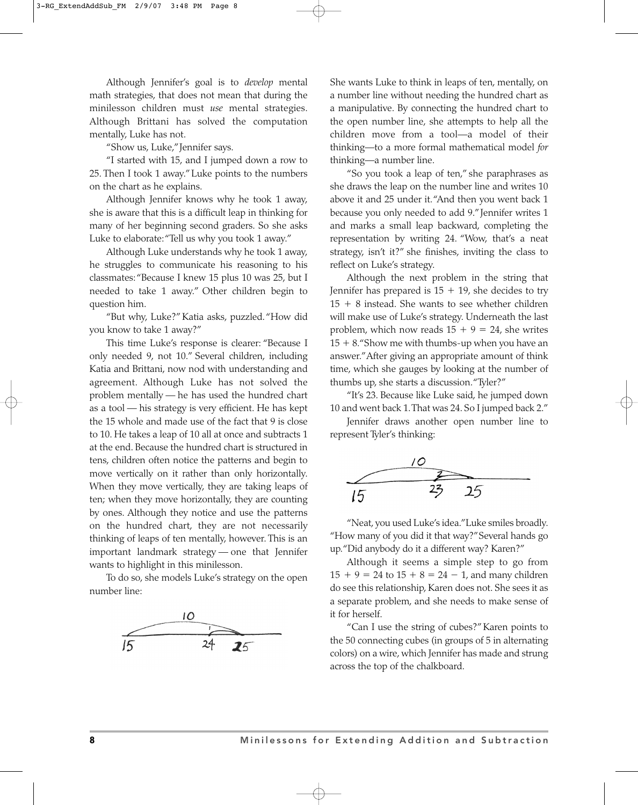Although Jennifer's goal is to *develop* mental math strategies, that does not mean that during the minilesson children must *use* mental strategies. Although Brittani has solved the computation mentally, Luke has not.

"Show us, Luke,"Jennifer says.

"I started with 15, and I jumped down a row to 25. Then I took 1 away."Luke points to the numbers on the chart as he explains.

Although Jennifer knows why he took 1 away, she is aware that this is a difficult leap in thinking for many of her beginning second graders. So she asks Luke to elaborate: "Tell us why you took 1 away."

Although Luke understands why he took 1 away, he struggles to communicate his reasoning to his classmates: "Because I knew 15 plus 10 was 25, but I needed to take 1 away." Other children begin to question him.

"But why, Luke?" Katia asks, puzzled."How did you know to take 1 away?"

This time Luke's response is clearer: "Because I only needed 9, not 10." Several children, including Katia and Brittani, now nod with understanding and agreement. Although Luke has not solved the problem mentally — he has used the hundred chart as a tool — his strategy is very efficient. He has kept the 15 whole and made use of the fact that 9 is close to 10. He takes a leap of 10 all at once and subtracts 1 at the end. Because the hundred chart is structured in tens, children often notice the patterns and begin to move vertically on it rather than only horizontally. When they move vertically, they are taking leaps of ten; when they move horizontally, they are counting by ones. Although they notice and use the patterns on the hundred chart, they are not necessarily thinking of leaps of ten mentally, however. This is an important landmark strategy — one that Jennifer wants to highlight in this minilesson.

To do so, she models Luke's strategy on the open number line:



She wants Luke to think in leaps of ten, mentally, on a number line without needing the hundred chart as a manipulative. By connecting the hundred chart to the open number line, she attempts to help all the children move from a tool—a model of their thinking—to a more formal mathematical model *for* thinking—a number line.

"So you took a leap of ten," she paraphrases as she draws the leap on the number line and writes 10 above it and 25 under it."And then you went back 1 because you only needed to add 9."Jennifer writes 1 and marks a small leap backward, completing the representation by writing 24. "Wow, that's a neat strategy, isn't it?" she finishes, inviting the class to reflect on Luke's strategy.

Although the next problem in the string that Jennifer has prepared is  $15 + 19$ , she decides to try 15 - 8 instead. She wants to see whether children will make use of Luke's strategy. Underneath the last problem, which now reads  $15 + 9 = 24$ , she writes 15 - 8."Show me with thumbs-up when you have an answer."After giving an appropriate amount of think time, which she gauges by looking at the number of thumbs up, she starts a discussion."Tyler?"

"It's 23. Because like Luke said, he jumped down 10 and went back 1.That was 24. So I jumped back 2."

Jennifer draws another open number line to represent Tyler's thinking:



"Neat, you used Luke's idea."Luke smiles broadly. "How many of you did it that way?"Several hands go up."Did anybody do it a different way? Karen?"

Although it seems a simple step to go from  $15 + 9 = 24$  to  $15 + 8 = 24 - 1$ , and many children do see this relationship, Karen does not. She sees it as a separate problem, and she needs to make sense of it for herself.

"Can I use the string of cubes?"Karen points to the 50 connecting cubes (in groups of 5 in alternating colors) on a wire, which Jennifer has made and strung across the top of the chalkboard.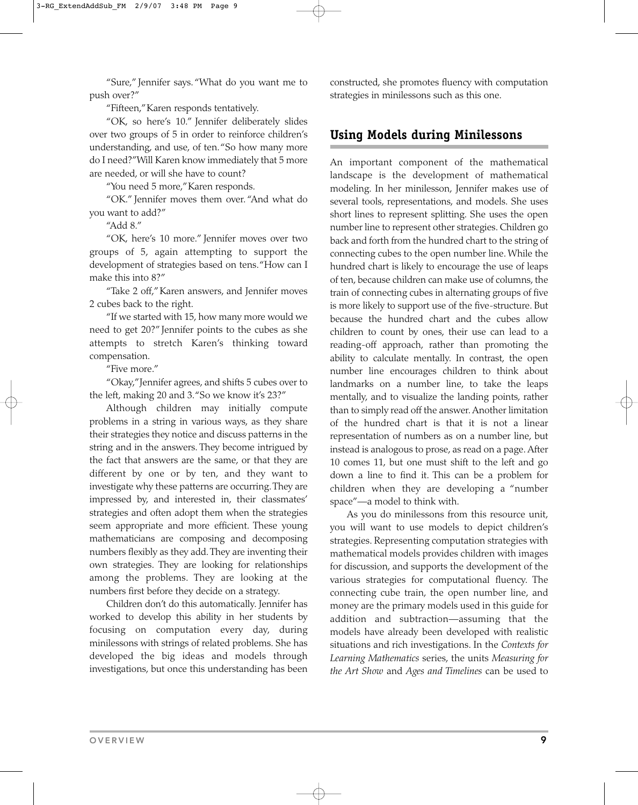"Sure," Jennifer says. "What do you want me to push over?"

"Fifteen,"Karen responds tentatively.

"OK, so here's 10." Jennifer deliberately slides over two groups of 5 in order to reinforce children's understanding, and use, of ten."So how many more do I need?"Will Karen know immediately that 5 more are needed, or will she have to count?

"You need 5 more,"Karen responds.

"OK." Jennifer moves them over. "And what do you want to add?"

"Add 8."

"OK, here's 10 more." Jennifer moves over two groups of 5, again attempting to support the development of strategies based on tens."How can I make this into 8?"

"Take 2 off,"Karen answers, and Jennifer moves 2 cubes back to the right.

"If we started with 15, how many more would we need to get 20?" Jennifer points to the cubes as she attempts to stretch Karen's thinking toward compensation.

"Five more."

"Okay,"Jennifer agrees, and shifts 5 cubes over to the left, making 20 and 3."So we know it's 23?"

Although children may initially compute problems in a string in various ways, as they share their strategies they notice and discuss patterns in the string and in the answers. They become intrigued by the fact that answers are the same, or that they are different by one or by ten, and they want to investigate why these patterns are occurring.They are impressed by, and interested in, their classmates' strategies and often adopt them when the strategies seem appropriate and more efficient. These young mathematicians are composing and decomposing numbers flexibly as they add.They are inventing their own strategies. They are looking for relationships among the problems. They are looking at the numbers first before they decide on a strategy.

Children don't do this automatically. Jennifer has worked to develop this ability in her students by focusing on computation every day, during minilessons with strings of related problems. She has developed the big ideas and models through investigations, but once this understanding has been constructed, she promotes fluency with computation strategies in minilessons such as this one.

### **Using Models during Minilessons**

An important component of the mathematical landscape is the development of mathematical modeling. In her minilesson, Jennifer makes use of several tools, representations, and models. She uses short lines to represent splitting. She uses the open number line to represent other strategies. Children go back and forth from the hundred chart to the string of connecting cubes to the open number line. While the hundred chart is likely to encourage the use of leaps of ten, because children can make use of columns, the train of connecting cubes in alternating groups of five is more likely to support use of the five-structure. But because the hundred chart and the cubes allow children to count by ones, their use can lead to a reading-off approach, rather than promoting the ability to calculate mentally. In contrast, the open number line encourages children to think about landmarks on a number line, to take the leaps mentally, and to visualize the landing points, rather than to simply read off the answer. Another limitation of the hundred chart is that it is not a linear representation of numbers as on a number line, but instead is analogous to prose, as read on a page. After 10 comes 11, but one must shift to the left and go down a line to find it. This can be a problem for children when they are developing a "number space"—a model to think with.

As you do minilessons from this resource unit, you will want to use models to depict children's strategies. Representing computation strategies with mathematical models provides children with images for discussion, and supports the development of the various strategies for computational fluency. The connecting cube train, the open number line, and money are the primary models used in this guide for addition and subtraction—assuming that the models have already been developed with realistic situations and rich investigations. In the *Contexts for Learning Mathematics* series, the units *Measuring for the Art Show* and *Ages and Timelines* can be used to